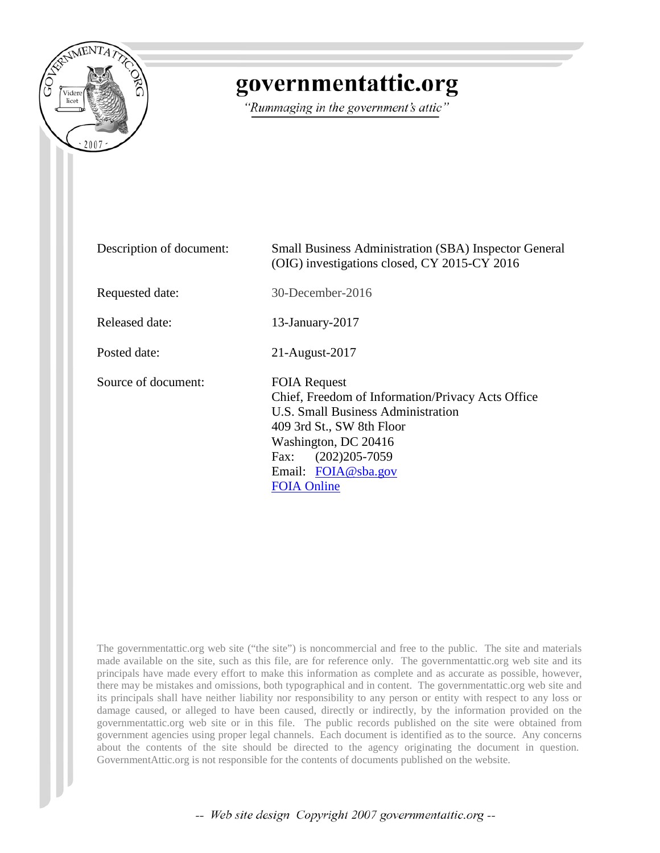

# governmentattic.org

"Rummaging in the government's attic"

| Description of document: | <b>Small Business Administration (SBA) Inspector General</b><br>(OIG) investigations closed, CY 2015-CY 2016                                                                                                                                  |
|--------------------------|-----------------------------------------------------------------------------------------------------------------------------------------------------------------------------------------------------------------------------------------------|
| Requested date:          | 30-December-2016                                                                                                                                                                                                                              |
| Released date:           | 13-January-2017                                                                                                                                                                                                                               |
| Posted date:             | 21-August-2017                                                                                                                                                                                                                                |
| Source of document:      | <b>FOIA Request</b><br>Chief, Freedom of Information/Privacy Acts Office<br>U.S. Small Business Administration<br>409 3rd St., SW 8th Floor<br>Washington, DC 20416<br>$(202)205 - 7059$<br>Fax:<br>Email: FOIA@sba.gov<br><b>FOIA Online</b> |

The governmentattic.org web site ("the site") is noncommercial and free to the public. The site and materials made available on the site, such as this file, are for reference only. The governmentattic.org web site and its principals have made every effort to make this information as complete and as accurate as possible, however, there may be mistakes and omissions, both typographical and in content. The governmentattic.org web site and its principals shall have neither liability nor responsibility to any person or entity with respect to any loss or damage caused, or alleged to have been caused, directly or indirectly, by the information provided on the governmentattic.org web site or in this file. The public records published on the site were obtained from government agencies using proper legal channels. Each document is identified as to the source. Any concerns about the contents of the site should be directed to the agency originating the document in question. GovernmentAttic.org is not responsible for the contents of documents published on the website.

-- Web site design Copyright 2007 governmentattic.org --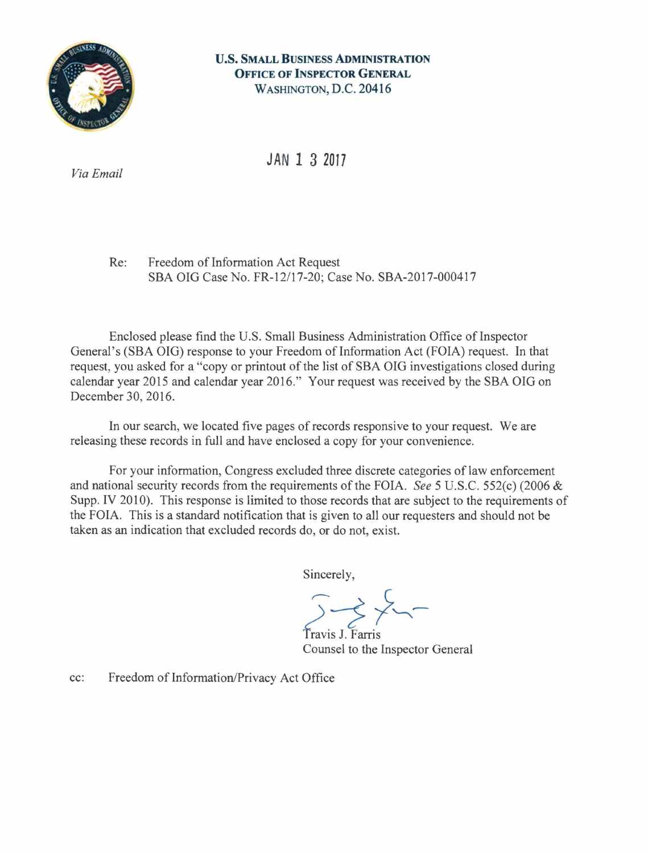

#### **U.S. SMALL BUSINESS ADMINISTRATION OFFICE OF INSPECTOR GENERAL** WASHINGTON, D.C. 20416

**JAN 1 3 2017** 

*Via Email* 

Re: Freedom of Information Act Request SBA OIG Case No. FR-12/17-20; Case No. SBA-2017-000417

Enclosed please find the U.S. Small Business Administration Office of Inspector General's (SBA OIG) response to your Freedom of Information Act (FOIA) request. In that request, you asked for a "copy or printout of the list of SBA OIG investigations closed during calendar year 2015 and calendar year 2016." Your request was received by the SBA OIG on December 30, 2016.

In our search, we located five pages of records responsive to your request. We are releasing these records in full and have enclosed a copy for your convenience.

For your information, Congress excluded three discrete categories of law enforcement and national security records from the requirements of the FOIA. *See* 5 U.S.C. 552(c) (2006 & Supp. IV 2010). This response is limited to those records that are subject to the requirements of the FOIA. This is a standard notification that is given to all our requesters and should not be taken as an indication that excluded records do, or do not, exist.

Sincerely,

Travis J. Farris Counsel to the Inspector General

cc: Freedom of Information/Privacy Act Office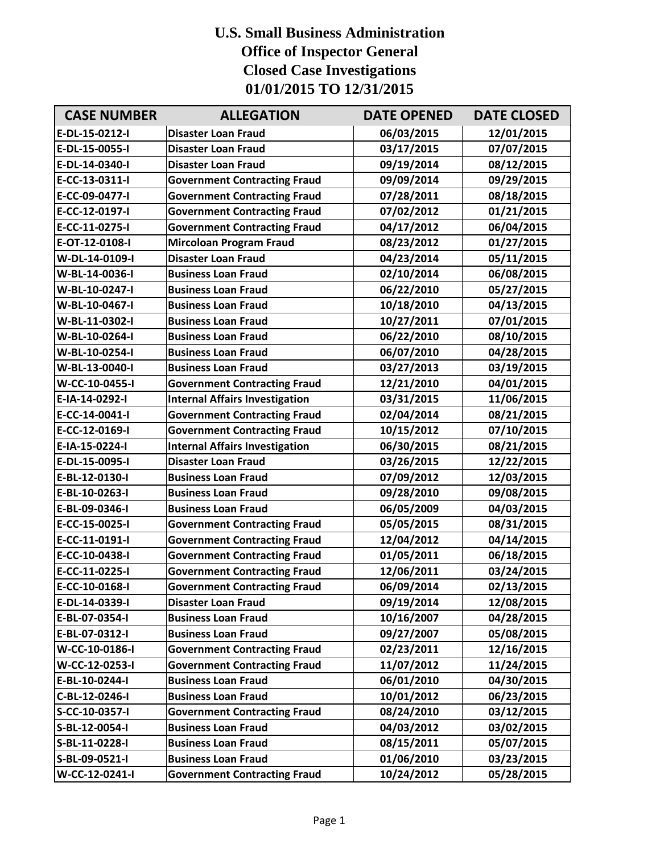## **U.S. Small Business Administration Office of Inspector General Closed Case Investigations 01/01/2015 TO 12/31/2015**

| <b>CASE NUMBER</b> | <b>ALLEGATION</b>                     | <b>DATE OPENED</b> | <b>DATE CLOSED</b> |
|--------------------|---------------------------------------|--------------------|--------------------|
| E-DL-15-0212-I     | <b>Disaster Loan Fraud</b>            | 06/03/2015         | 12/01/2015         |
| E-DL-15-0055-I     | <b>Disaster Loan Fraud</b>            | 03/17/2015         | 07/07/2015         |
| E-DL-14-0340-I     | <b>Disaster Loan Fraud</b>            | 09/19/2014         | 08/12/2015         |
| E-CC-13-0311-I     | <b>Government Contracting Fraud</b>   | 09/09/2014         | 09/29/2015         |
| E-CC-09-0477-I     | <b>Government Contracting Fraud</b>   | 07/28/2011         | 08/18/2015         |
| E-CC-12-0197-I     | <b>Government Contracting Fraud</b>   | 07/02/2012         | 01/21/2015         |
| E-CC-11-0275-I     | <b>Government Contracting Fraud</b>   | 04/17/2012         | 06/04/2015         |
| E-OT-12-0108-I     | <b>Mircoloan Program Fraud</b>        | 08/23/2012         | 01/27/2015         |
| W-DL-14-0109-I     | <b>Disaster Loan Fraud</b>            | 04/23/2014         | 05/11/2015         |
| W-BL-14-0036-I     | <b>Business Loan Fraud</b>            | 02/10/2014         | 06/08/2015         |
| W-BL-10-0247-I     | <b>Business Loan Fraud</b>            | 06/22/2010         | 05/27/2015         |
| W-BL-10-0467-I     | <b>Business Loan Fraud</b>            | 10/18/2010         | 04/13/2015         |
| W-BL-11-0302-I     | <b>Business Loan Fraud</b>            | 10/27/2011         | 07/01/2015         |
| W-BL-10-0264-I     | <b>Business Loan Fraud</b>            | 06/22/2010         | 08/10/2015         |
| W-BL-10-0254-I     | <b>Business Loan Fraud</b>            | 06/07/2010         | 04/28/2015         |
| W-BL-13-0040-I     | <b>Business Loan Fraud</b>            | 03/27/2013         | 03/19/2015         |
| W-CC-10-0455-I     | <b>Government Contracting Fraud</b>   | 12/21/2010         | 04/01/2015         |
| E-IA-14-0292-I     | <b>Internal Affairs Investigation</b> | 03/31/2015         | 11/06/2015         |
| E-CC-14-0041-I     | <b>Government Contracting Fraud</b>   | 02/04/2014         | 08/21/2015         |
| E-CC-12-0169-I     | <b>Government Contracting Fraud</b>   | 10/15/2012         | 07/10/2015         |
| E-IA-15-0224-I     | <b>Internal Affairs Investigation</b> | 06/30/2015         | 08/21/2015         |
| E-DL-15-0095-I     | <b>Disaster Loan Fraud</b>            | 03/26/2015         | 12/22/2015         |
| E-BL-12-0130-I     | <b>Business Loan Fraud</b>            | 07/09/2012         | 12/03/2015         |
| E-BL-10-0263-I     | <b>Business Loan Fraud</b>            | 09/28/2010         | 09/08/2015         |
| E-BL-09-0346-I     | <b>Business Loan Fraud</b>            | 06/05/2009         | 04/03/2015         |
| E-CC-15-0025-I     | <b>Government Contracting Fraud</b>   | 05/05/2015         | 08/31/2015         |
| E-CC-11-0191-I     | <b>Government Contracting Fraud</b>   | 12/04/2012         | 04/14/2015         |
| E-CC-10-0438-I     | <b>Government Contracting Fraud</b>   | 01/05/2011         | 06/18/2015         |
| E-CC-11-0225-I     | <b>Government Contracting Fraud</b>   | 12/06/2011         | 03/24/2015         |
| E-CC-10-0168-I     | <b>Government Contracting Fraud</b>   | 06/09/2014         | 02/13/2015         |
| E-DL-14-0339-I     | <b>Disaster Loan Fraud</b>            | 09/19/2014         | 12/08/2015         |
| E-BL-07-0354-I     | <b>Business Loan Fraud</b>            | 10/16/2007         | 04/28/2015         |
| E-BL-07-0312-I     | <b>Business Loan Fraud</b>            | 09/27/2007         | 05/08/2015         |
| W-CC-10-0186-I     | <b>Government Contracting Fraud</b>   | 02/23/2011         | 12/16/2015         |
| W-CC-12-0253-I     | <b>Government Contracting Fraud</b>   | 11/07/2012         | 11/24/2015         |
| E-BL-10-0244-I     | <b>Business Loan Fraud</b>            | 06/01/2010         | 04/30/2015         |
| C-BL-12-0246-I     | <b>Business Loan Fraud</b>            | 10/01/2012         | 06/23/2015         |
| S-CC-10-0357-I     | <b>Government Contracting Fraud</b>   | 08/24/2010         | 03/12/2015         |
| S-BL-12-0054-I     | <b>Business Loan Fraud</b>            | 04/03/2012         | 03/02/2015         |
| S-BL-11-0228-I     | <b>Business Loan Fraud</b>            | 08/15/2011         | 05/07/2015         |
| S-BL-09-0521-I     | <b>Business Loan Fraud</b>            | 01/06/2010         | 03/23/2015         |
| W-CC-12-0241-I     | <b>Government Contracting Fraud</b>   | 10/24/2012         | 05/28/2015         |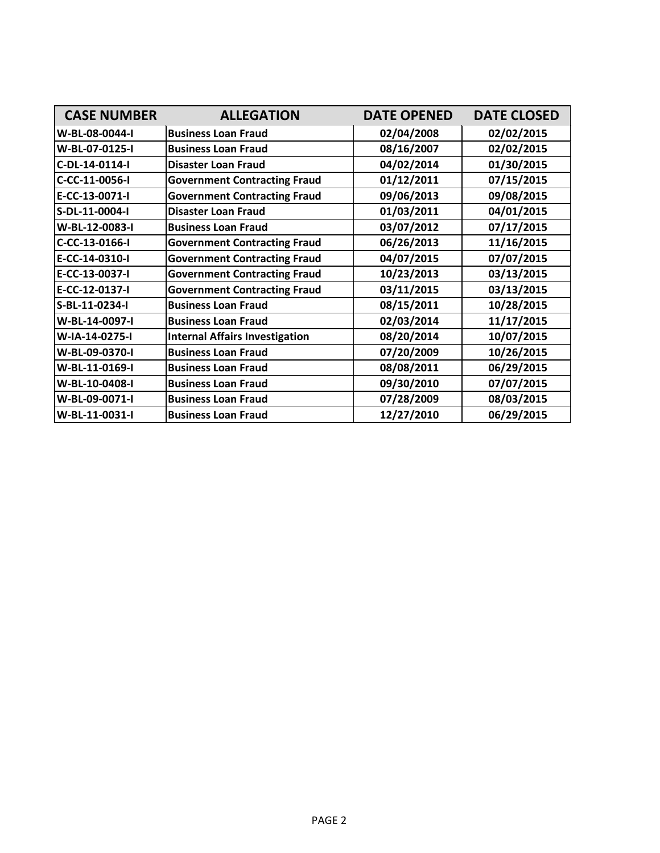| <b>CASE NUMBER</b> | <b>ALLEGATION</b>                     | <b>DATE OPENED</b> | <b>DATE CLOSED</b> |
|--------------------|---------------------------------------|--------------------|--------------------|
| W-BL-08-0044-I     | <b>Business Loan Fraud</b>            | 02/04/2008         | 02/02/2015         |
| W-BL-07-0125-I     | <b>Business Loan Fraud</b>            | 08/16/2007         | 02/02/2015         |
| C-DL-14-0114-I     | <b>Disaster Loan Fraud</b>            | 04/02/2014         | 01/30/2015         |
| C-CC-11-0056-I     | <b>Government Contracting Fraud</b>   | 01/12/2011         | 07/15/2015         |
| E-CC-13-0071-I     | <b>Government Contracting Fraud</b>   | 09/06/2013         | 09/08/2015         |
| S-DL-11-0004-I     | <b>Disaster Loan Fraud</b>            | 01/03/2011         | 04/01/2015         |
| W-BL-12-0083-I     | <b>Business Loan Fraud</b>            | 03/07/2012         | 07/17/2015         |
| C-CC-13-0166-I     | <b>Government Contracting Fraud</b>   | 06/26/2013         | 11/16/2015         |
| E-CC-14-0310-I     | <b>Government Contracting Fraud</b>   | 04/07/2015         | 07/07/2015         |
| E-CC-13-0037-I     | <b>Government Contracting Fraud</b>   | 10/23/2013         | 03/13/2015         |
| E-CC-12-0137-I     | <b>Government Contracting Fraud</b>   | 03/11/2015         | 03/13/2015         |
| S-BL-11-0234-I     | <b>Business Loan Fraud</b>            | 08/15/2011         | 10/28/2015         |
| W-BL-14-0097-I     | <b>Business Loan Fraud</b>            | 02/03/2014         | 11/17/2015         |
| W-IA-14-0275-I     | <b>Internal Affairs Investigation</b> | 08/20/2014         | 10/07/2015         |
| W-BL-09-0370-I     | <b>Business Loan Fraud</b>            | 07/20/2009         | 10/26/2015         |
| W-BL-11-0169-I     | <b>Business Loan Fraud</b>            | 08/08/2011         | 06/29/2015         |
| W-BL-10-0408-I     | <b>Business Loan Fraud</b>            | 09/30/2010         | 07/07/2015         |
| W-BL-09-0071-I     | <b>Business Loan Fraud</b>            | 07/28/2009         | 08/03/2015         |
| W-BL-11-0031-I     | <b>Business Loan Fraud</b>            | 12/27/2010         | 06/29/2015         |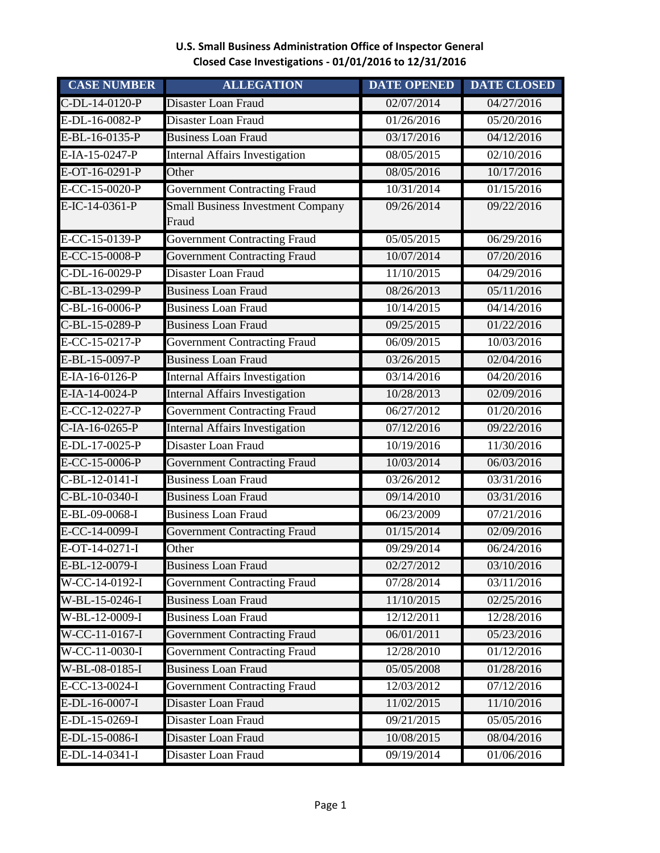### **U.S. Small Business Administration Office of Inspector General Closed Case Investigations - 01/01/2016 to 12/31/2016**

| <b>CASE NUMBER</b> | <b>ALLEGATION</b>                                 | <b>DATE OPENED</b> | <b>DATE CLOSED</b> |
|--------------------|---------------------------------------------------|--------------------|--------------------|
| C-DL-14-0120-P     | Disaster Loan Fraud                               | 02/07/2014         | 04/27/2016         |
| E-DL-16-0082-P     | Disaster Loan Fraud                               | 01/26/2016         | 05/20/2016         |
| E-BL-16-0135-P     | <b>Business Loan Fraud</b>                        | 03/17/2016         | 04/12/2016         |
| E-IA-15-0247-P     | <b>Internal Affairs Investigation</b>             | 08/05/2015         | 02/10/2016         |
| E-OT-16-0291-P     | Other                                             | 08/05/2016         | 10/17/2016         |
| E-CC-15-0020-P     | <b>Government Contracting Fraud</b>               | 10/31/2014         | 01/15/2016         |
| E-IC-14-0361-P     | <b>Small Business Investment Company</b><br>Fraud | 09/26/2014         | 09/22/2016         |
| E-CC-15-0139-P     | <b>Government Contracting Fraud</b>               | 05/05/2015         | 06/29/2016         |
| E-CC-15-0008-P     | <b>Government Contracting Fraud</b>               | 10/07/2014         | 07/20/2016         |
| C-DL-16-0029-P     | Disaster Loan Fraud                               | 11/10/2015         | 04/29/2016         |
| C-BL-13-0299-P     | <b>Business Loan Fraud</b>                        | 08/26/2013         | 05/11/2016         |
| C-BL-16-0006-P     | <b>Business Loan Fraud</b>                        | 10/14/2015         | 04/14/2016         |
| C-BL-15-0289-P     | <b>Business Loan Fraud</b>                        | 09/25/2015         | 01/22/2016         |
| E-CC-15-0217-P     | <b>Government Contracting Fraud</b>               | 06/09/2015         | 10/03/2016         |
| E-BL-15-0097-P     | <b>Business Loan Fraud</b>                        | 03/26/2015         | 02/04/2016         |
| E-IA-16-0126-P     | Internal Affairs Investigation                    | 03/14/2016         | 04/20/2016         |
| E-IA-14-0024-P     | <b>Internal Affairs Investigation</b>             | 10/28/2013         | 02/09/2016         |
| E-CC-12-0227-P     | <b>Government Contracting Fraud</b>               | 06/27/2012         | 01/20/2016         |
| $C$ -IA-16-0265-P  | <b>Internal Affairs Investigation</b>             | 07/12/2016         | 09/22/2016         |
| E-DL-17-0025-P     | Disaster Loan Fraud                               | 10/19/2016         | 11/30/2016         |
| E-CC-15-0006-P     | <b>Government Contracting Fraud</b>               | 10/03/2014         | 06/03/2016         |
| $C-BL-12-0141-I$   | <b>Business Loan Fraud</b>                        | 03/26/2012         | 03/31/2016         |
| C-BL-10-0340-I     | <b>Business Loan Fraud</b>                        | 09/14/2010         | 03/31/2016         |
| E-BL-09-0068-I     | <b>Business Loan Fraud</b>                        | 06/23/2009         | 07/21/2016         |
| E-CC-14-0099-I     | <b>Government Contracting Fraud</b>               | 01/15/2014         | 02/09/2016         |
| E-OT-14-0271-I     | Other                                             | 09/29/2014         | 06/24/2016         |
| E-BL-12-0079-I     | <b>Business Loan Fraud</b>                        | 02/27/2012         | 03/10/2016         |
| W-CC-14-0192-I     | <b>Government Contracting Fraud</b>               | 07/28/2014         | 03/11/2016         |
| W-BL-15-0246-I     | <b>Business Loan Fraud</b>                        | 11/10/2015         | 02/25/2016         |
| W-BL-12-0009-I     | <b>Business Loan Fraud</b>                        | 12/12/2011         | 12/28/2016         |
| W-CC-11-0167-I     | <b>Government Contracting Fraud</b>               | 06/01/2011         | 05/23/2016         |
| W-CC-11-0030-I     | <b>Government Contracting Fraud</b>               | 12/28/2010         | 01/12/2016         |
| W-BL-08-0185-I     | <b>Business Loan Fraud</b>                        | 05/05/2008         | 01/28/2016         |
| E-CC-13-0024-I     | <b>Government Contracting Fraud</b>               | 12/03/2012         | 07/12/2016         |
| E-DL-16-0007-I     | Disaster Loan Fraud                               | 11/02/2015         | 11/10/2016         |
| E-DL-15-0269-I     | Disaster Loan Fraud                               | 09/21/2015         | 05/05/2016         |
| E-DL-15-0086-I     | Disaster Loan Fraud                               | 10/08/2015         | 08/04/2016         |
| E-DL-14-0341-I     | Disaster Loan Fraud                               | 09/19/2014         | 01/06/2016         |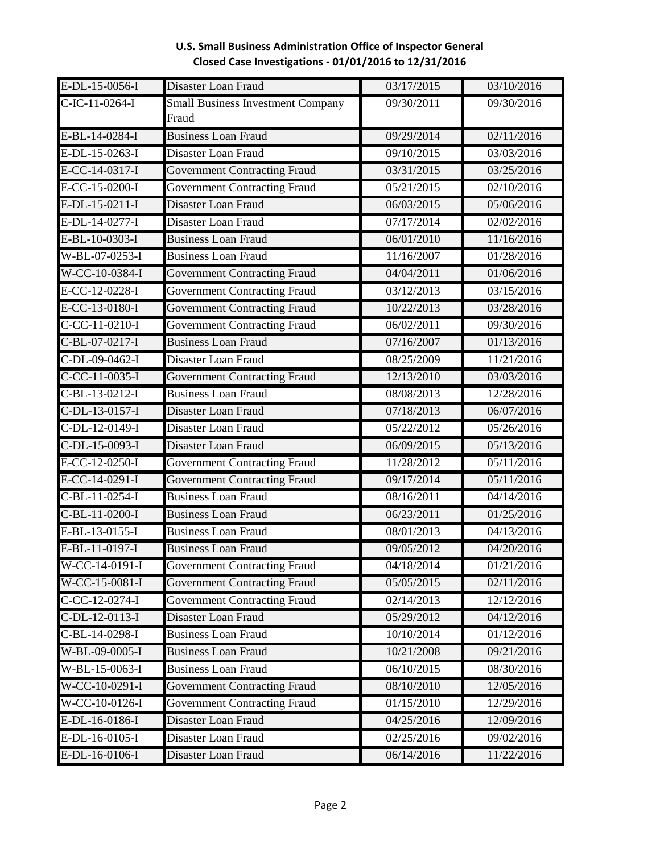| $E-DL-15-0056-I$ | Disaster Loan Fraud                      | 03/17/2015 | 03/10/2016 |
|------------------|------------------------------------------|------------|------------|
| $C-IC-11-0264-I$ | <b>Small Business Investment Company</b> | 09/30/2011 | 09/30/2016 |
|                  | Fraud                                    |            |            |
| E-BL-14-0284-I   | <b>Business Loan Fraud</b>               | 09/29/2014 | 02/11/2016 |
| E-DL-15-0263-I   | Disaster Loan Fraud                      | 09/10/2015 | 03/03/2016 |
| E-CC-14-0317-I   | <b>Government Contracting Fraud</b>      | 03/31/2015 | 03/25/2016 |
| E-CC-15-0200-I   | <b>Government Contracting Fraud</b>      | 05/21/2015 | 02/10/2016 |
| E-DL-15-0211-I   | Disaster Loan Fraud                      | 06/03/2015 | 05/06/2016 |
| E-DL-14-0277-I   | Disaster Loan Fraud                      | 07/17/2014 | 02/02/2016 |
| E-BL-10-0303-I   | <b>Business Loan Fraud</b>               | 06/01/2010 | 11/16/2016 |
| W-BL-07-0253-I   | <b>Business Loan Fraud</b>               | 11/16/2007 | 01/28/2016 |
| W-CC-10-0384-I   | <b>Government Contracting Fraud</b>      | 04/04/2011 | 01/06/2016 |
| E-CC-12-0228-I   | <b>Government Contracting Fraud</b>      | 03/12/2013 | 03/15/2016 |
| E-CC-13-0180-I   | <b>Government Contracting Fraud</b>      | 10/22/2013 | 03/28/2016 |
| $C-CC-11-0210-I$ | <b>Government Contracting Fraud</b>      | 06/02/2011 | 09/30/2016 |
| C-BL-07-0217-I   | <b>Business Loan Fraud</b>               | 07/16/2007 | 01/13/2016 |
| C-DL-09-0462-I   | Disaster Loan Fraud                      | 08/25/2009 | 11/21/2016 |
| $C-CC-11-0035-I$ | <b>Government Contracting Fraud</b>      | 12/13/2010 | 03/03/2016 |
| $C-BL-13-0212-I$ | <b>Business Loan Fraud</b>               | 08/08/2013 | 12/28/2016 |
| C-DL-13-0157-I   | Disaster Loan Fraud                      | 07/18/2013 | 06/07/2016 |
| C-DL-12-0149-I   | Disaster Loan Fraud                      | 05/22/2012 | 05/26/2016 |
| C-DL-15-0093-I   | Disaster Loan Fraud                      | 06/09/2015 | 05/13/2016 |
| E-CC-12-0250-I   | <b>Government Contracting Fraud</b>      | 11/28/2012 | 05/11/2016 |
| E-CC-14-0291-I   | <b>Government Contracting Fraud</b>      | 09/17/2014 | 05/11/2016 |
| $C-BL-11-0254-I$ | <b>Business Loan Fraud</b>               | 08/16/2011 | 04/14/2016 |
| C-BL-11-0200-I   | <b>Business Loan Fraud</b>               | 06/23/2011 | 01/25/2016 |
| E-BL-13-0155-I   | <b>Business Loan Fraud</b>               | 08/01/2013 | 04/13/2016 |
| E-BL-11-0197-I   | <b>Business Loan Fraud</b>               | 09/05/2012 | 04/20/2016 |
| $W-CC-14-0191-I$ | <b>Government Contracting Fraud</b>      | 04/18/2014 | 01/21/2016 |
| W-CC-15-0081-I   | <b>Government Contracting Fraud</b>      | 05/05/2015 | 02/11/2016 |
| C-CC-12-0274-I   | <b>Government Contracting Fraud</b>      | 02/14/2013 | 12/12/2016 |
| $C-DL-12-0113-I$ | Disaster Loan Fraud                      | 05/29/2012 | 04/12/2016 |
| C-BL-14-0298-I   | <b>Business Loan Fraud</b>               | 10/10/2014 | 01/12/2016 |
| W-BL-09-0005-I   | <b>Business Loan Fraud</b>               | 10/21/2008 | 09/21/2016 |
| W-BL-15-0063-I   | <b>Business Loan Fraud</b>               | 06/10/2015 | 08/30/2016 |
| $W-CC-10-0291-I$ | <b>Government Contracting Fraud</b>      | 08/10/2010 | 12/05/2016 |
| $W-CC-10-0126-I$ | <b>Government Contracting Fraud</b>      | 01/15/2010 | 12/29/2016 |
| E-DL-16-0186-I   | Disaster Loan Fraud                      | 04/25/2016 | 12/09/2016 |
| E-DL-16-0105-I   | Disaster Loan Fraud                      | 02/25/2016 | 09/02/2016 |
| E-DL-16-0106-I   | Disaster Loan Fraud                      | 06/14/2016 | 11/22/2016 |

#### **U.S. Small Business Administration Office of Inspector General Closed Case Investigations - 01/01/2016 to 12/31/2016**